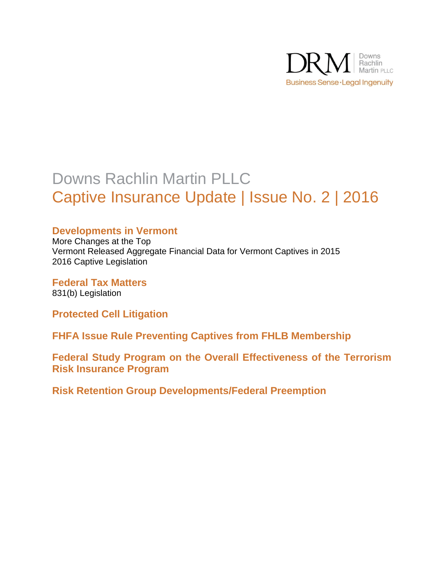

# Downs Rachlin Martin PLLC Captive Insurance Update | Issue No. 2 | 2016

# **Developments in Vermont**

More Changes at the Top Vermont Released Aggregate Financial Data for Vermont Captives in 2015 2016 Captive Legislation

**Federal Tax Matters** 831(b) Legislation

**Protected Cell Litigation**

**FHFA Issue Rule Preventing Captives from FHLB Membership**

**Federal Study Program on the Overall Effectiveness of the Terrorism Risk Insurance Program**

**Risk Retention Group Developments/Federal Preemption**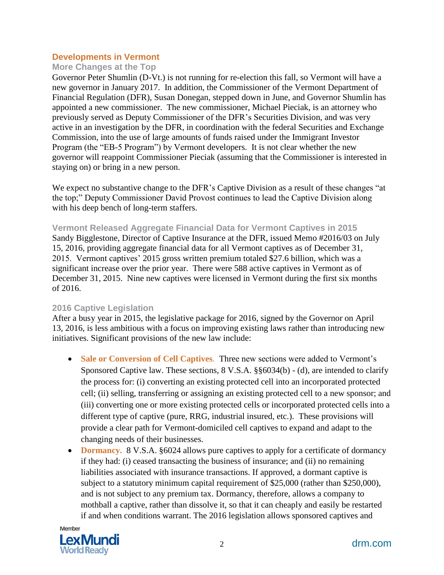#### **Developments in Vermont**

#### **More Changes at the Top**

Governor Peter Shumlin (D-Vt.) is not running for re-election this fall, so Vermont will have a new governor in January 2017. In addition, the Commissioner of the Vermont Department of Financial Regulation (DFR), Susan Donegan, stepped down in June, and Governor Shumlin has appointed a new commissioner. The new commissioner, Michael Pieciak, is an attorney who previously served as Deputy Commissioner of the DFR's Securities Division, and was very active in an investigation by the DFR, in coordination with the federal Securities and Exchange Commission, into the use of large amounts of funds raised under the Immigrant Investor Program (the "EB-5 Program") by Vermont developers. It is not clear whether the new governor will reappoint Commissioner Pieciak (assuming that the Commissioner is interested in staying on) or bring in a new person.

We expect no substantive change to the DFR's Captive Division as a result of these changes "at the top;" Deputy Commissioner David Provost continues to lead the Captive Division along with his deep bench of long-term staffers.

**Vermont Released Aggregate Financial Data for Vermont Captives in 2015**

Sandy Bigglestone, Director of Captive Insurance at the DFR, issued Memo #2016/03 on July 15, 2016, providing aggregate financial data for all Vermont captives as of December 31, 2015. Vermont captives' 2015 gross written premium totaled \$27.6 billion, which was a significant increase over the prior year. There were 588 active captives in Vermont as of December 31, 2015. Nine new captives were licensed in Vermont during the first six months of 2016.

#### **2016 Captive Legislation**

After a busy year in 2015, the legislative package for 2016, signed by the Governor on April 13, 2016, is less ambitious with a focus on improving existing laws rather than introducing new initiatives. Significant provisions of the new law include:

- **Sale or Conversion of Cell Captives**. Three new sections were added to Vermont's Sponsored Captive law. These sections, 8 V.S.A. §§6034(b) - (d), are intended to clarify the process for: (i) converting an existing protected cell into an incorporated protected cell; (ii) selling, transferring or assigning an existing protected cell to a new sponsor; and (iii) converting one or more existing protected cells or incorporated protected cells into a different type of captive (pure, RRG, industrial insured, etc.). These provisions will provide a clear path for Vermont-domiciled cell captives to expand and adapt to the changing needs of their businesses.
- **Dormancy.** 8 V.S.A. §6024 allows pure captives to apply for a certificate of dormancy if they had: (i) ceased transacting the business of insurance; and (ii) no remaining liabilities associated with insurance transactions. If approved, a dormant captive is subject to a statutory minimum capital requirement of \$25,000 (rather than \$250,000), and is not subject to any premium tax. Dormancy, therefore, allows a company to mothball a captive, rather than dissolve it, so that it can cheaply and easily be restarted if and when conditions warrant. The 2016 legislation allows sponsored captives and

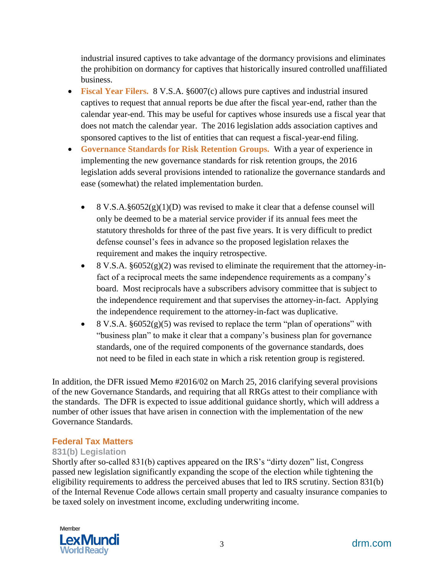industrial insured captives to take advantage of the dormancy provisions and eliminates the prohibition on dormancy for captives that historically insured controlled unaffiliated business.

- **Fiscal Year Filers.** 8 V.S.A. §6007(c) allows pure captives and industrial insured captives to request that annual reports be due after the fiscal year-end, rather than the calendar year-end. This may be useful for captives whose insureds use a fiscal year that does not match the calendar year. The 2016 legislation adds association captives and sponsored captives to the list of entities that can request a fiscal-year-end filing.
- **Governance Standards for Risk Retention Groups.** With a year of experience in implementing the new governance standards for risk retention groups, the 2016 legislation adds several provisions intended to rationalize the governance standards and ease (somewhat) the related implementation burden.
	- 8 V.S.A.§6052(g)(1)(D) was revised to make it clear that a defense counsel will only be deemed to be a material service provider if its annual fees meet the statutory thresholds for three of the past five years. It is very difficult to predict defense counsel's fees in advance so the proposed legislation relaxes the requirement and makes the inquiry retrospective.
	- $\bullet$  8 V.S.A. §6052(g)(2) was revised to eliminate the requirement that the attorney-infact of a reciprocal meets the same independence requirements as a company's board. Most reciprocals have a subscribers advisory committee that is subject to the independence requirement and that supervises the attorney-in-fact. Applying the independence requirement to the attorney-in-fact was duplicative.
	- 8 V.S.A. §6052(g)(5) was revised to replace the term "plan of operations" with "business plan" to make it clear that a company's business plan for governance standards, one of the required components of the governance standards, does not need to be filed in each state in which a risk retention group is registered.

In addition, the DFR issued Memo #2016/02 on March 25, 2016 clarifying several provisions of the new Governance Standards, and requiring that all RRGs attest to their compliance with the standards. The DFR is expected to issue additional guidance shortly, which will address a number of other issues that have arisen in connection with the implementation of the new Governance Standards.

#### **Federal Tax Matters**

#### **831(b) Legislation**

Shortly after so-called 831(b) captives appeared on the IRS's "dirty dozen" list, Congress passed new legislation significantly expanding the scope of the election while tightening the eligibility requirements to address the perceived abuses that led to IRS scrutiny. Section 831(b) of the Internal Revenue Code allows certain small property and casualty insurance companies to be taxed solely on investment income, excluding underwriting income.

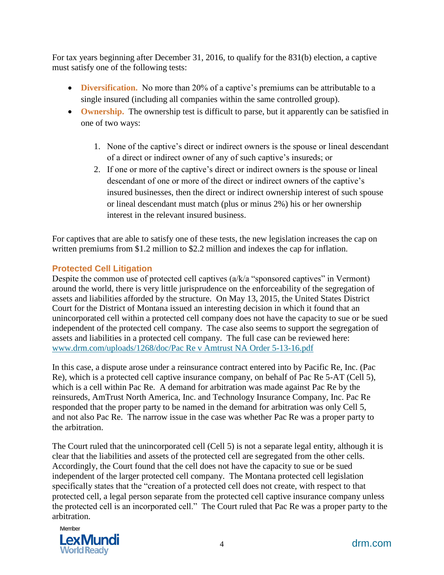For tax years beginning after December 31, 2016, to qualify for the 831(b) election, a captive must satisfy one of the following tests:

- **Diversification.** No more than 20% of a captive's premiums can be attributable to a single insured (including all companies within the same controlled group).
- Ownership. The ownership test is difficult to parse, but it apparently can be satisfied in one of two ways:
	- 1. None of the captive's direct or indirect owners is the spouse or lineal descendant of a direct or indirect owner of any of such captive's insureds; or
	- 2. If one or more of the captive's direct or indirect owners is the spouse or lineal descendant of one or more of the direct or indirect owners of the captive's insured businesses, then the direct or indirect ownership interest of such spouse or lineal descendant must match (plus or minus 2%) his or her ownership interest in the relevant insured business.

For captives that are able to satisfy one of these tests, the new legislation increases the cap on written premiums from \$1.2 million to \$2.2 million and indexes the cap for inflation.

## **Protected Cell Litigation**

Despite the common use of protected cell captives (a/k/a "sponsored captives" in Vermont) around the world, there is very little jurisprudence on the enforceability of the segregation of assets and liabilities afforded by the structure. On May 13, 2015, the United States District Court for the District of Montana issued an interesting decision in which it found that an unincorporated cell within a protected cell company does not have the capacity to sue or be sued independent of the protected cell company. The case also seems to support the segregation of assets and liabilities in a protected cell company. The full case can be reviewed here: [www.drm.com/uploads/1268/doc/Pac](http://www.drm.com/uploads/1268/doc/Pac) Re v Amtrust NA Order 5-13-16.pdf

In this case, a dispute arose under a reinsurance contract entered into by Pacific Re, Inc. (Pac Re), which is a protected cell captive insurance company, on behalf of Pac Re 5-AT (Cell 5), which is a cell within Pac Re. A demand for arbitration was made against Pac Re by the reinsureds, AmTrust North America, Inc. and Technology Insurance Company, Inc. Pac Re responded that the proper party to be named in the demand for arbitration was only Cell 5, and not also Pac Re. The narrow issue in the case was whether Pac Re was a proper party to the arbitration.

The Court ruled that the unincorporated cell (Cell 5) is not a separate legal entity, although it is clear that the liabilities and assets of the protected cell are segregated from the other cells. Accordingly, the Court found that the cell does not have the capacity to sue or be sued independent of the larger protected cell company. The Montana protected cell legislation specifically states that the "creation of a protected cell does not create, with respect to that protected cell, a legal person separate from the protected cell captive insurance company unless the protected cell is an incorporated cell." The Court ruled that Pac Re was a proper party to the arbitration.

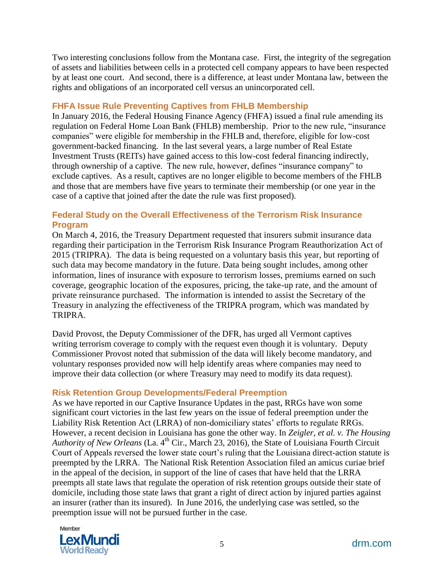Two interesting conclusions follow from the Montana case. First, the integrity of the segregation of assets and liabilities between cells in a protected cell company appears to have been respected by at least one court. And second, there is a difference, at least under Montana law, between the rights and obligations of an incorporated cell versus an unincorporated cell.

#### **FHFA Issue Rule Preventing Captives from FHLB Membership**

In January 2016, the Federal Housing Finance Agency (FHFA) issued a final rule amending its regulation on Federal Home Loan Bank (FHLB) membership. Prior to the new rule, "insurance companies" were eligible for membership in the FHLB and, therefore, eligible for low-cost government-backed financing. In the last several years, a large number of Real Estate Investment Trusts (REITs) have gained access to this low-cost federal financing indirectly, through ownership of a captive. The new rule, however, defines "insurance company" to exclude captives. As a result, captives are no longer eligible to become members of the FHLB and those that are members have five years to terminate their membership (or one year in the case of a captive that joined after the date the rule was first proposed).

#### **Federal Study on the Overall Effectiveness of the Terrorism Risk Insurance Program**

On March 4, 2016, the Treasury Department requested that insurers submit insurance data regarding their participation in the Terrorism Risk Insurance Program Reauthorization Act of 2015 (TRIPRA). The data is being requested on a voluntary basis this year, but reporting of such data may become mandatory in the future. Data being sought includes, among other information, lines of insurance with exposure to terrorism losses, premiums earned on such coverage, geographic location of the exposures, pricing, the take-up rate, and the amount of private reinsurance purchased. The information is intended to assist the Secretary of the Treasury in analyzing the effectiveness of the TRIPRA program, which was mandated by TRIPRA.

David Provost, the Deputy Commissioner of the DFR, has urged all Vermont captives writing terrorism coverage to comply with the request even though it is voluntary. Deputy Commissioner Provost noted that submission of the data will likely become mandatory, and voluntary responses provided now will help identify areas where companies may need to improve their data collection (or where Treasury may need to modify its data request).

#### **Risk Retention Group Developments/Federal Preemption**

As we have reported in our Captive Insurance Updates in the past, RRGs have won some significant court victories in the last few years on the issue of federal preemption under the Liability Risk Retention Act (LRRA) of non-domiciliary states' efforts to regulate RRGs. However, a recent decision in Louisiana has gone the other way. In *Zeigler, et al. v. The Housing*  Authority of New Orleans (La. 4<sup>th</sup> Cir., March 23, 2016), the State of Louisiana Fourth Circuit Court of Appeals reversed the lower state court's ruling that the Louisiana direct-action statute is preempted by the LRRA. The National Risk Retention Association filed an amicus curiae brief in the appeal of the decision, in support of the line of cases that have held that the LRRA preempts all state laws that regulate the operation of risk retention groups outside their state of domicile, including those state laws that grant a right of direct action by injured parties against an insurer (rather than its insured). In June 2016, the underlying case was settled, so the preemption issue will not be pursued further in the case.